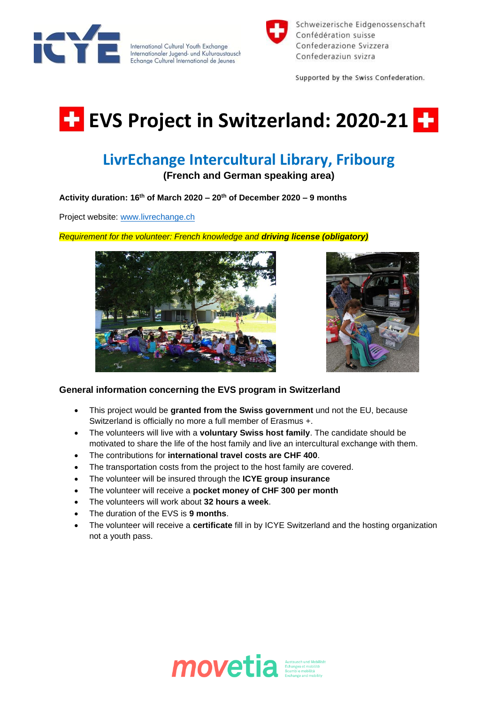

International Cultural Youth Exchange Internationaler Jugend- und Kulturaustausch Echange Culturel International de Jeunes



Schweizerische Eidgenossenschaft Confédération suisse Confederazione Svizzera Confederaziun svizra

Supported by the Swiss Confederation.

## **EVS Project in Switzerland: 2020-21 EV**

## **LivrEchange Intercultural Library, Fribourg**

**(French and German speaking area)**

**Activity duration: 16th of March 2020 – 20th of December 2020 – 9 months** 

Project website: [www.livrechange.ch](http://www.livrechange.ch/)

*Requirement for the volunteer: French knowledge and driving license (obligatory)*





## **General information concerning the EVS program in Switzerland**

- This project would be **granted from the Swiss government** und not the EU, because Switzerland is officially no more a full member of Erasmus +.
- The volunteers will live with a **voluntary Swiss host family**. The candidate should be motivated to share the life of the host family and live an intercultural exchange with them.
- The contributions for **international travel costs are CHF 400**.
- The transportation costs from the project to the host family are covered.
- The volunteer will be insured through the **ICYE group insurance**
- The volunteer will receive a **pocket money of CHF 300 per month**
- The volunteers will work about **32 hours a week**.
- The duration of the EVS is **9 months**.
- The volunteer will receive a **certificate** fill in by ICYE Switzerland and the hosting organization not a youth pass.